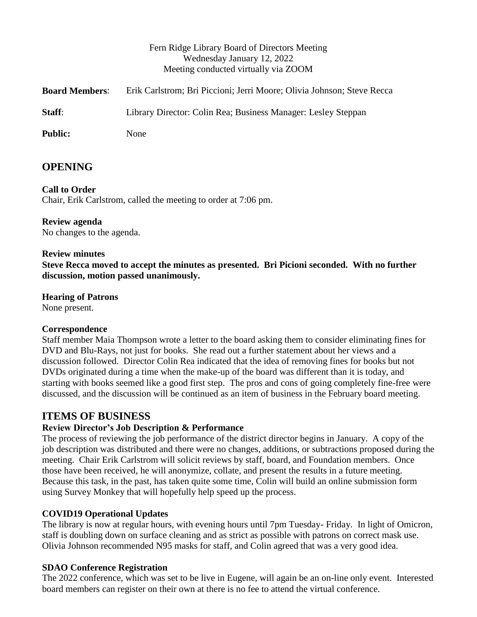|                       | Fern Ridge Library Board of Directors Meeting<br>Wednesday January 12, 2022<br>Meeting conducted virtually via ZOOM |
|-----------------------|---------------------------------------------------------------------------------------------------------------------|
| <b>Board Members:</b> | Erik Carlstrom; Bri Piccioni; Jerri Moore; Olivia Johnson; Steve Recca                                              |
| Staff:                |                                                                                                                     |
|                       | Library Director: Colin Rea; Business Manager: Lesley Steppan                                                       |
| <b>Public:</b>        | None                                                                                                                |

## **OPENING**

#### **Call to Order**

Chair, Erik Carlstrom, called the meeting to order at 7:06 pm.

## **Review agenda**

No changes to the agenda.

#### **Review minutes**

**Steve Recca moved to accept the minutes as presented. Bri Picioni seconded. With no further discussion, motion passed unanimously.**

### **Hearing of Patrons**

None present.

#### **Correspondence**

Staff member Maia Thompson wrote a letter to the board asking them to consider eliminating fines for DVD and Blu-Rays, not just for books. She read out a further statement about her views and a discussion followed. Director Colin Rea indicated that the idea of removing fines for books but not DVDs originated during a time when the make-up of the board was different than it is today, and starting with books seemed like a good first step. The pros and cons of going completely fine-free were discussed, and the discussion will be continued as an item of business in the February board meeting.

## **ITEMS OF BUSINESS**

#### **Review Director's Job Description & Performance**

The process of reviewing the job performance of the district director begins in January. A copy of the job description was distributed and there were no changes, additions, or subtractions proposed during the meeting. Chair Erik Carlstrom will solicit reviews by staff, board, and Foundation members. Once those have been received, he will anonymize, collate, and present the results in a future meeting. Because this task, in the past, has taken quite some time, Colin will build an online submission form using Survey Monkey that will hopefully help speed up the process.

#### **COVID19 Operational Updates**

The library is now at regular hours, with evening hours until 7pm Tuesday- Friday. In light of Omicron, staff is doubling down on surface cleaning and as strict as possible with patrons on correct mask use. Olivia Johnson recommended N95 masks for staff, and Colin agreed that was a very good idea.

#### **SDAO Conference Registration**

The 2022 conference, which was set to be live in Eugene, will again be an on-line only event. Interested board members can register on their own at there is no fee to attend the virtual conference.